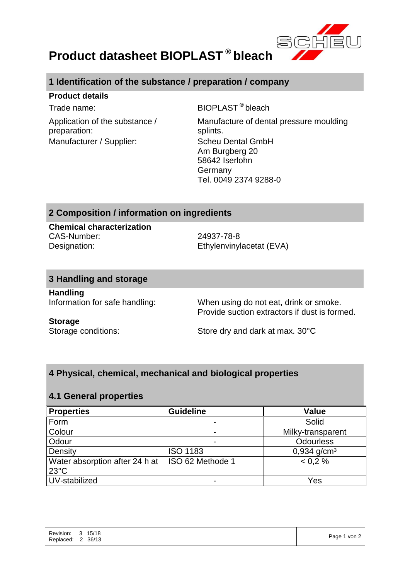

# **Product datasheet BIOPLAST ® bleach**

# **1 Identification of the substance / preparation / company**

#### **Product details**

Application of the substance / preparation: Manufacturer / Supplier: Scheu Dental GmbH

Trade name: BIOPLAST **®** bleach

Manufacture of dental pressure moulding splints. Am Burgberg 20 58642 Iserlohn Germany Tel. 0049 2374 9288-0

### **2 Composition / information on ingredients**

**Chemical characterization** CAS-Number: 24937-78-8 Designation: Ethylenvinylacetat (EVA)

#### **3 Handling and storage**

**Handling**

Information for safe handling: When using do not eat, drink or smoke. Provide suction extractors if dust is formed.

#### **Storage**

Storage conditions: Store dry and dark at max. 30°C

## **4 Physical, chemical, mechanical and biological properties**

#### **4.1 General properties**

| <b>Properties</b>                                | <b>Guideline</b> | <b>Value</b>              |
|--------------------------------------------------|------------------|---------------------------|
| Form                                             |                  | Solid                     |
| Colour                                           | $\blacksquare$   | Milky-transparent         |
| Odour                                            |                  | <b>Odourless</b>          |
| Density                                          | <b>ISO 1183</b>  | $0,934$ g/cm <sup>3</sup> |
| Water absorption after 24 h at<br>$23^{\circ}$ C | ISO 62 Methode 1 | < 0.2 %                   |
| UV-stabilized                                    |                  | Yes                       |

| Revision:<br>Replaced: | $\overline{\mathbf{3}}$<br>$\sim$<br>$\epsilon$ | 15/18<br>36/13 | $1$ von $2$<br>Page |
|------------------------|-------------------------------------------------|----------------|---------------------|
|                        |                                                 |                |                     |